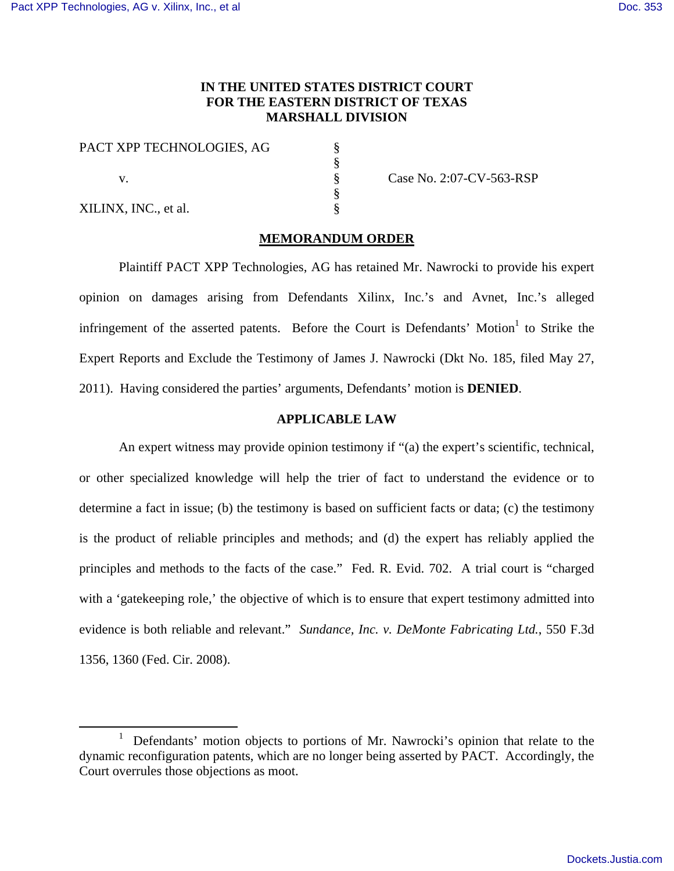# **IN THE UNITED STATES DISTRICT COURT FOR THE EASTERN DISTRICT OF TEXAS MARSHALL DIVISION**

§ § § § §

| PACT XPP TECHNOLOGIES, AG |  |
|---------------------------|--|
| V.                        |  |
| XILINX, INC., et al.      |  |

Case No. 2:07-CV-563-RSP

#### **MEMORANDUM ORDER**

Plaintiff PACT XPP Technologies, AG has retained Mr. Nawrocki to provide his expert opinion on damages arising from Defendants Xilinx, Inc.'s and Avnet, Inc.'s alleged infringement of the asserted patents. Before the Court is Defendants' Motion $1$  to Strike the Expert Reports and Exclude the Testimony of James J. Nawrocki (Dkt No. 185, filed May 27, 2011). Having considered the parties' arguments, Defendants' motion is **DENIED**.

# **APPLICABLE LAW**

An expert witness may provide opinion testimony if "(a) the expert's scientific, technical, or other specialized knowledge will help the trier of fact to understand the evidence or to determine a fact in issue; (b) the testimony is based on sufficient facts or data; (c) the testimony is the product of reliable principles and methods; and (d) the expert has reliably applied the principles and methods to the facts of the case." Fed. R. Evid. 702. A trial court is "charged with a 'gatekeeping role,' the objective of which is to ensure that expert testimony admitted into evidence is both reliable and relevant." *Sundance, Inc. v. DeMonte Fabricating Ltd.*, 550 F.3d 1356, 1360 (Fed. Cir. 2008).

<sup>&</sup>lt;u>1</u> Defendants' motion objects to portions of Mr. Nawrocki's opinion that relate to the dynamic reconfiguration patents, which are no longer being asserted by PACT. Accordingly, the Court overrules those objections as moot.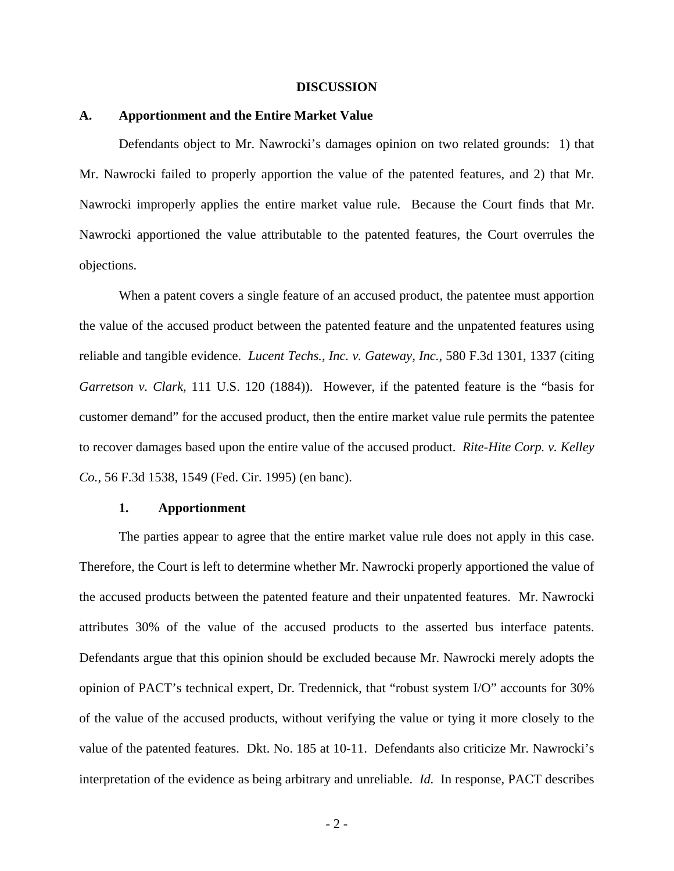#### **DISCUSSION**

#### **A. Apportionment and the Entire Market Value**

Defendants object to Mr. Nawrocki's damages opinion on two related grounds: 1) that Mr. Nawrocki failed to properly apportion the value of the patented features, and 2) that Mr. Nawrocki improperly applies the entire market value rule. Because the Court finds that Mr. Nawrocki apportioned the value attributable to the patented features, the Court overrules the objections.

When a patent covers a single feature of an accused product, the patentee must apportion the value of the accused product between the patented feature and the unpatented features using reliable and tangible evidence. *Lucent Techs., Inc. v. Gateway, Inc.*, 580 F.3d 1301, 1337 (citing *Garretson v. Clark*, 111 U.S. 120 (1884)). However, if the patented feature is the "basis for customer demand" for the accused product, then the entire market value rule permits the patentee to recover damages based upon the entire value of the accused product. *Rite-Hite Corp. v. Kelley Co.*, 56 F.3d 1538, 1549 (Fed. Cir. 1995) (en banc).

#### **1. Apportionment**

The parties appear to agree that the entire market value rule does not apply in this case. Therefore, the Court is left to determine whether Mr. Nawrocki properly apportioned the value of the accused products between the patented feature and their unpatented features. Mr. Nawrocki attributes 30% of the value of the accused products to the asserted bus interface patents. Defendants argue that this opinion should be excluded because Mr. Nawrocki merely adopts the opinion of PACT's technical expert, Dr. Tredennick, that "robust system I/O" accounts for 30% of the value of the accused products, without verifying the value or tying it more closely to the value of the patented features. Dkt. No. 185 at 10-11. Defendants also criticize Mr. Nawrocki's interpretation of the evidence as being arbitrary and unreliable. *Id.* In response, PACT describes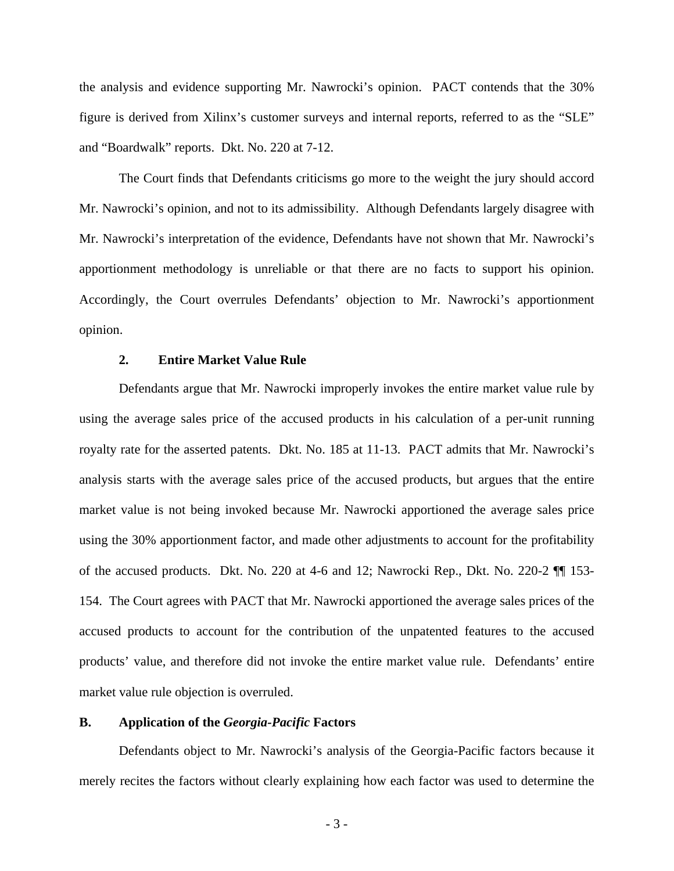the analysis and evidence supporting Mr. Nawrocki's opinion. PACT contends that the 30% figure is derived from Xilinx's customer surveys and internal reports, referred to as the "SLE" and "Boardwalk" reports. Dkt. No. 220 at 7-12.

The Court finds that Defendants criticisms go more to the weight the jury should accord Mr. Nawrocki's opinion, and not to its admissibility. Although Defendants largely disagree with Mr. Nawrocki's interpretation of the evidence, Defendants have not shown that Mr. Nawrocki's apportionment methodology is unreliable or that there are no facts to support his opinion. Accordingly, the Court overrules Defendants' objection to Mr. Nawrocki's apportionment opinion.

## **2. Entire Market Value Rule**

Defendants argue that Mr. Nawrocki improperly invokes the entire market value rule by using the average sales price of the accused products in his calculation of a per-unit running royalty rate for the asserted patents. Dkt. No. 185 at 11-13. PACT admits that Mr. Nawrocki's analysis starts with the average sales price of the accused products, but argues that the entire market value is not being invoked because Mr. Nawrocki apportioned the average sales price using the 30% apportionment factor, and made other adjustments to account for the profitability of the accused products. Dkt. No. 220 at 4-6 and 12; Nawrocki Rep., Dkt. No. 220-2 ¶¶ 153- 154. The Court agrees with PACT that Mr. Nawrocki apportioned the average sales prices of the accused products to account for the contribution of the unpatented features to the accused products' value, and therefore did not invoke the entire market value rule. Defendants' entire market value rule objection is overruled.

## **B. Application of the** *Georgia-Pacific* **Factors**

Defendants object to Mr. Nawrocki's analysis of the Georgia-Pacific factors because it merely recites the factors without clearly explaining how each factor was used to determine the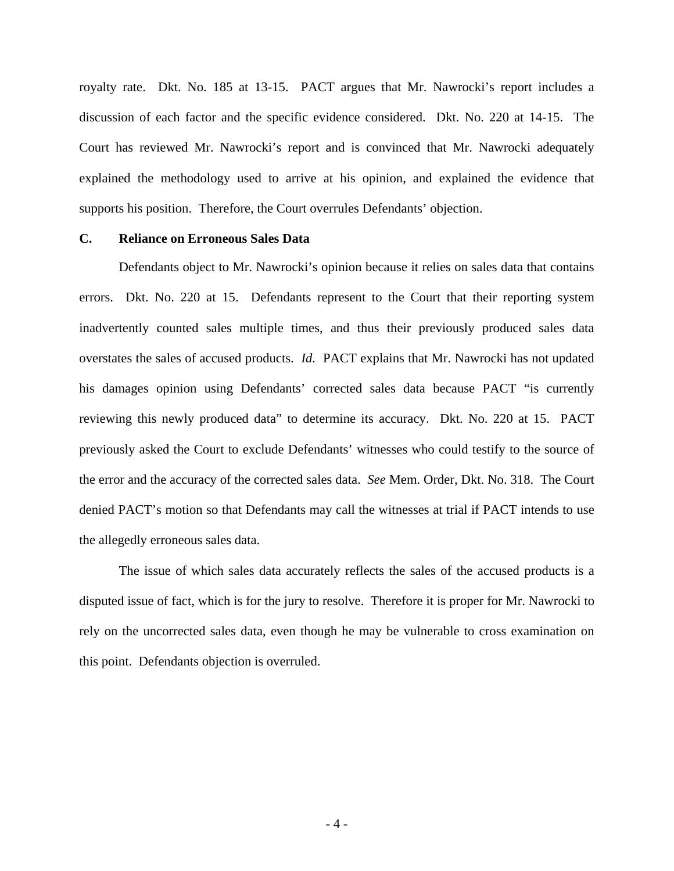royalty rate. Dkt. No. 185 at 13-15. PACT argues that Mr. Nawrocki's report includes a discussion of each factor and the specific evidence considered. Dkt. No. 220 at 14-15. The Court has reviewed Mr. Nawrocki's report and is convinced that Mr. Nawrocki adequately explained the methodology used to arrive at his opinion, and explained the evidence that supports his position. Therefore, the Court overrules Defendants' objection.

## **C. Reliance on Erroneous Sales Data**

Defendants object to Mr. Nawrocki's opinion because it relies on sales data that contains errors. Dkt. No. 220 at 15. Defendants represent to the Court that their reporting system inadvertently counted sales multiple times, and thus their previously produced sales data overstates the sales of accused products. *Id.* PACT explains that Mr. Nawrocki has not updated his damages opinion using Defendants' corrected sales data because PACT "is currently reviewing this newly produced data" to determine its accuracy. Dkt. No. 220 at 15. PACT previously asked the Court to exclude Defendants' witnesses who could testify to the source of the error and the accuracy of the corrected sales data. *See* Mem. Order, Dkt. No. 318. The Court denied PACT's motion so that Defendants may call the witnesses at trial if PACT intends to use the allegedly erroneous sales data.

The issue of which sales data accurately reflects the sales of the accused products is a disputed issue of fact, which is for the jury to resolve. Therefore it is proper for Mr. Nawrocki to rely on the uncorrected sales data, even though he may be vulnerable to cross examination on this point. Defendants objection is overruled.